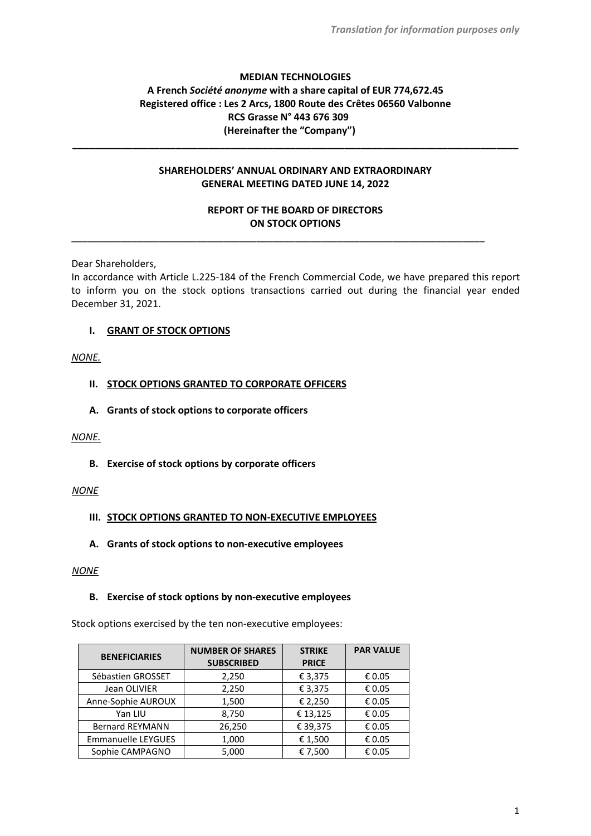# **MEDIAN TECHNOLOGIES A French** *Société anonyme* **with a share capital of EUR 774,672.45 Registered office : Les 2 Arcs, 1800 Route des Crêtes 06560 Valbonne RCS Grasse N° 443 676 309 (Hereinafter the "Company")**

# **SHAREHOLDERS' ANNUAL ORDINARY AND EXTRAORDINARY GENERAL MEETING DATED JUNE 14, 2022**

**\_\_\_\_\_\_\_\_\_\_\_\_\_\_\_\_\_\_\_\_\_\_\_\_\_\_\_\_\_\_\_\_\_\_\_\_\_\_\_\_\_\_\_\_\_\_\_\_\_\_\_\_\_\_\_\_\_\_\_\_\_\_\_\_\_\_\_\_\_\_\_\_\_\_\_\_\_\_\_\_\_\_**

# **REPORT OF THE BOARD OF DIRECTORS ON STOCK OPTIONS**

\_\_\_\_\_\_\_\_\_\_\_\_\_\_\_\_\_\_\_\_\_\_\_\_\_\_\_\_\_\_\_\_\_\_\_\_\_\_\_\_\_\_\_\_\_\_\_\_\_\_\_\_\_\_\_\_\_\_\_\_\_\_\_\_\_\_\_\_\_\_\_\_\_\_\_\_

Dear Shareholders,

In accordance with Article L.225-184 of the French Commercial Code, we have prepared this report to inform you on the stock options transactions carried out during the financial year ended December 31, 2021.

**I. GRANT OF STOCK OPTIONS**

# *NONE.*

# **II. STOCK OPTIONS GRANTED TO CORPORATE OFFICERS**

**A. Grants of stock options to corporate officers**

#### *NONE.*

**B. Exercise of stock options by corporate officers**

#### *NONE*

#### **III. STOCK OPTIONS GRANTED TO NON-EXECUTIVE EMPLOYEES**

**A. Grants of stock options to non-executive employees**

#### *NONE*

#### **B. Exercise of stock options by non-executive employees**

Stock options exercised by the ten non-executive employees:

| <b>BENEFICIARIES</b>      | <b>NUMBER OF SHARES</b><br><b>SUBSCRIBED</b> | <b>STRIKE</b><br><b>PRICE</b> | <b>PAR VALUE</b> |
|---------------------------|----------------------------------------------|-------------------------------|------------------|
| Sébastien GROSSET         | 2,250                                        | € 3,375                       | € 0.05           |
| Jean OLIVIER              | 2,250                                        | € 3,375                       | € 0.05           |
| Anne-Sophie AUROUX        | 1,500                                        | € 2,250                       | € 0.05           |
| Yan LIU                   | 8,750                                        | €13,125                       | € 0.05           |
| <b>Bernard REYMANN</b>    | 26,250                                       | € 39,375                      | € 0.05           |
| <b>Emmanuelle LEYGUES</b> | 1,000                                        | € 1,500                       | € 0.05           |
| Sophie CAMPAGNO           | 5,000                                        | € 7,500                       | € 0.05           |